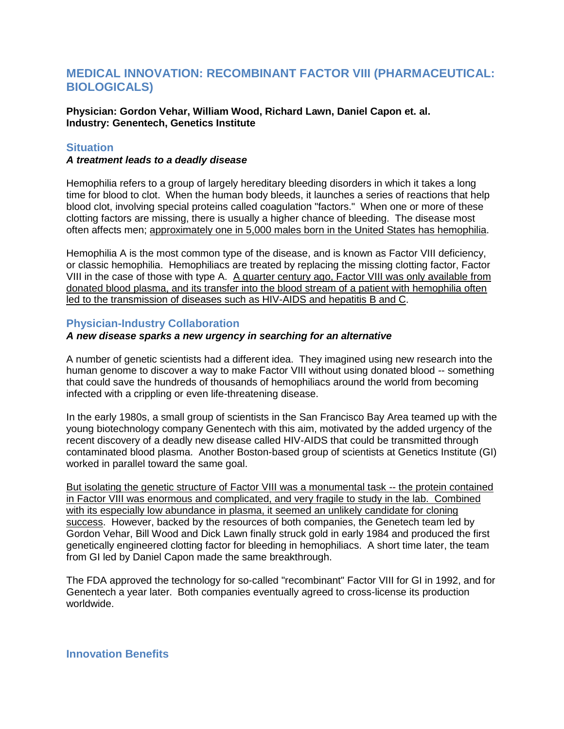# **MEDICAL INNOVATION: RECOMBINANT FACTOR VIII (PHARMACEUTICAL: BIOLOGICALS)**

**Physician: Gordon Vehar, William Wood, Richard Lawn, Daniel Capon et. al. Industry: Genentech, Genetics Institute**

## **Situation**

#### *A treatment leads to a deadly disease*

Hemophilia refers to a group of largely hereditary bleeding disorders in which it takes a long time for blood to clot. When the human body bleeds, it launches a series of reactions that help blood clot, involving special proteins called coagulation "factors." When one or more of these clotting factors are missing, there is usually a higher chance of bleeding. The disease most often affects men; approximately one in 5,000 males born in the United States has hemophilia.

Hemophilia A is the most common type of the disease, and is known as Factor VIII deficiency, or classic hemophilia. Hemophiliacs are treated by replacing the missing clotting factor, Factor VIII in the case of those with type A. A quarter century ago, Factor VIII was only available from donated blood plasma, and its transfer into the blood stream of a patient with hemophilia often led to the transmission of diseases such as HIV-AIDS and hepatitis B and C.

### **Physician-Industry Collaboration**

#### *A new disease sparks a new urgency in searching for an alternative*

A number of genetic scientists had a different idea. They imagined using new research into the human genome to discover a way to make Factor VIII without using donated blood -- something that could save the hundreds of thousands of hemophiliacs around the world from becoming infected with a crippling or even life-threatening disease.

In the early 1980s, a small group of scientists in the San Francisco Bay Area teamed up with the young biotechnology company Genentech with this aim, motivated by the added urgency of the recent discovery of a deadly new disease called HIV-AIDS that could be transmitted through contaminated blood plasma. Another Boston-based group of scientists at Genetics Institute (GI) worked in parallel toward the same goal.

But isolating the genetic structure of Factor VIII was a monumental task -- the protein contained in Factor VIII was enormous and complicated, and very fragile to study in the lab. Combined with its especially low abundance in plasma, it seemed an unlikely candidate for cloning success. However, backed by the resources of both companies, the Genetech team led by Gordon Vehar, Bill Wood and Dick Lawn finally struck gold in early 1984 and produced the first genetically engineered clotting factor for bleeding in hemophiliacs. A short time later, the team from GI led by Daniel Capon made the same breakthrough.

The FDA approved the technology for so-called "recombinant" Factor VIII for GI in 1992, and for Genentech a year later. Both companies eventually agreed to cross-license its production worldwide.

**Innovation Benefits**